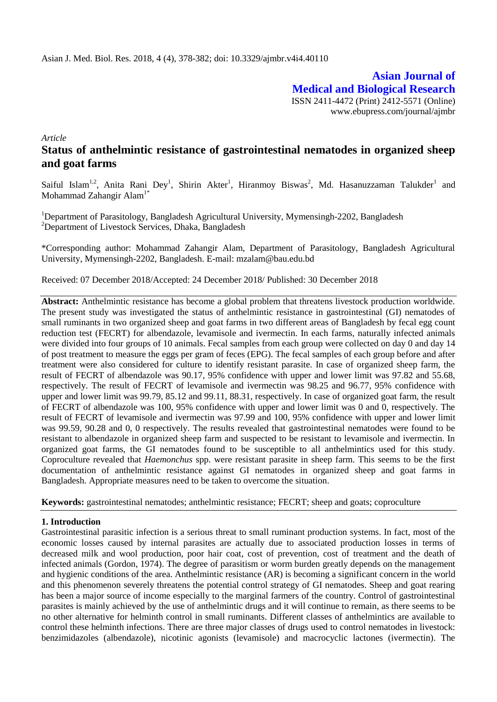**Asian Journal of Medical and Biological Research** ISSN 2411-4472 (Print) 2412-5571 (Online) www.ebupress.com/journal/ajmbr

*Article*

# **Status of anthelmintic resistance of gastrointestinal nematodes in organized sheep and goat farms**

Saiful Islam<sup>1,2</sup>, Anita Rani Dey<sup>1</sup>, Shirin Akter<sup>1</sup>, Hiranmoy Biswas<sup>2</sup>, Md. Hasanuzzaman Talukder<sup>1</sup> and Mohammad Zahangir Alam<sup>1</sup>

<sup>1</sup>Department of Parasitology, Bangladesh Agricultural University, Mymensingh-2202, Bangladesh <sup>2</sup>Department of Livestock Services, Dhaka, Bangladesh

\*Corresponding author: Mohammad Zahangir Alam, Department of Parasitology, Bangladesh Agricultural University, Mymensingh-2202, Bangladesh. E-mail: mzalam@bau.edu.bd

Received: 07 December 2018/Accepted: 24 December 2018/ Published: 30 December 2018

**Abstract:** Anthelmintic resistance has become a global problem that threatens livestock production worldwide. The present study was investigated the status of anthelmintic resistance in gastrointestinal (GI) nematodes of small ruminants in two organized sheep and goat farms in two different areas of Bangladesh by fecal egg count reduction test (FECRT) for albendazole, levamisole and ivermectin. In each farms, naturally infected animals were divided into four groups of 10 animals. Fecal samples from each group were collected on day 0 and day 14 of post treatment to measure the eggs per gram of feces (EPG). The fecal samples of each group before and after treatment were also considered for culture to identify resistant parasite. In case of organized sheep farm, the result of FECRT of albendazole was 90.17, 95% confidence with upper and lower limit was 97.82 and 55.68, respectively. The result of FECRT of levamisole and ivermectin was 98.25 and 96.77, 95% confidence with upper and lower limit was 99.79, 85.12 and 99.11, 88.31, respectively. In case of organized goat farm, the result of FECRT of albendazole was 100, 95% confidence with upper and lower limit was 0 and 0, respectively. The result of FECRT of levamisole and ivermectin was 97.99 and 100, 95% confidence with upper and lower limit was 99.59, 90.28 and 0, 0 respectively. The results revealed that gastrointestinal nematodes were found to be resistant to albendazole in organized sheep farm and suspected to be resistant to levamisole and ivermectin. In organized goat farms, the GI nematodes found to be susceptible to all anthelmintics used for this study. Coproculture revealed that *Haemonchus* spp. were resistant parasite in sheep farm. This seems to be the first documentation of anthelmintic resistance against GI nematodes in organized sheep and goat farms in Bangladesh. Appropriate measures need to be taken to overcome the situation.

**Keywords:** gastrointestinal nematodes; anthelmintic resistance; FECRT; sheep and goats; coproculture

# **1. Introduction**

Gastrointestinal parasitic infection is a serious threat to small ruminant production systems. In fact, most of the economic losses caused by internal parasites are actually due to associated production losses in terms of decreased milk and wool production, poor hair coat, cost of prevention, cost of treatment and the death of infected animals (Gordon, 1974). The degree of parasitism or worm burden greatly depends on the management and hygienic conditions of the area. Anthelmintic resistance (AR) is becoming a significant concern in the world and this phenomenon severely threatens the potential control strategy of GI nematodes. Sheep and goat rearing has been a major source of income especially to the marginal farmers of the country. Control of gastrointestinal parasites is mainly achieved by the use of anthelmintic drugs and it will continue to remain, as there seems to be no other alternative for helminth control in small ruminants. Different classes of anthelmintics are available to control these helminth infections. There are three major classes of drugs used to control nematodes in livestock: benzimidazoles (albendazole), nicotinic agonists (levamisole) and macrocyclic lactones (ivermectin). The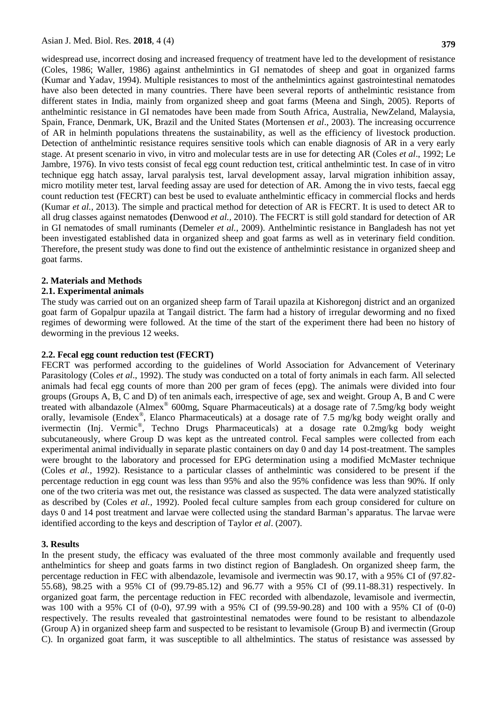widespread use, incorrect dosing and increased frequency of treatment have led to the development of resistance (Coles, 1986; Waller, 1986) against anthelmintics in GI nematodes of sheep and goat in organized farms (Kumar and Yadav, 1994). Multiple resistances to most of the anthelmintics against gastrointestinal nematodes have also been detected in many countries. There have been several reports of anthelmintic resistance from different states in India, mainly from organized sheep and goat farms (Meena and Singh, 2005). Reports of anthelmintic resistance in GI nematodes have been made from South Africa, Australia, NewZeland, Malaysia, Spain, France, Denmark, UK, Brazil and the United States (Mortensen *et al*., 2003). The increasing occurrence of AR in helminth populations threatens the sustainability, as well as the efficiency of livestock production. Detection of anthelmintic resistance requires sensitive tools which can enable diagnosis of AR in a very early stage. At present scenario in vivo, in vitro and molecular tests are in use for detecting AR (Coles *et al*., 1992; Le Jambre, 1976). In vivo tests consist of fecal egg count reduction test, critical anthelmintic test. In case of in vitro technique egg hatch assay, larval paralysis test, larval development assay, larval migration inhibition assay, micro motility meter test, larval feeding assay are used for detection of AR. Among the in vivo tests, faecal egg count reduction test (FECRT) can best be used to evaluate anthelmintic efficacy in commercial flocks and herds (Kumar *et al.,* 2013). The simple and practical method for detection of AR is FECRT. It is used to detect AR to all drug classes against nematodes **(**Denwood *et al.,* 2010). The FECRT is still gold standard for detection of AR in GI nematodes of small ruminants (Demeler *et al.,* 2009). Anthelmintic resistance in Bangladesh has not yet been investigated established data in organized sheep and goat farms as well as in veterinary field condition. Therefore, the present study was done to find out the existence of anthelmintic resistance in organized sheep and goat farms.

# **2. Materials and Methods**

## **2.1. Experimental animals**

The study was carried out on an organized sheep farm of Tarail upazila at Kishoregonj district and an organized goat farm of Gopalpur upazila at Tangail district. The farm had a history of irregular deworming and no fixed regimes of deworming were followed. At the time of the start of the experiment there had been no history of deworming in the previous 12 weeks.

## **2.2. Fecal egg count reduction test (FECRT)**

FECRT was performed according to the guidelines of World Association for Advancement of Veterinary Parasitology (Coles *et al*., 1992). The study was conducted on a total of forty animals in each farm. All selected animals had fecal egg counts of more than 200 per gram of feces (epg). The animals were divided into four groups (Groups A, B, C and D) of ten animals each, irrespective of age, sex and weight. Group A, B and C were treated with albandazole (Almex® 600mg, Square Pharmaceuticals) at a dosage rate of 7.5mg/kg body weight orally, levamisole (Endex*®* , Elanco Pharmaceuticals) at a dosage rate of 7.5 mg/kg body weight orally and ivermectin (Inj. Vermic*®* , Techno Drugs Pharmaceuticals) at a dosage rate 0.2mg/kg body weight subcutaneously, where Group D was kept as the untreated control. Fecal samples were collected from each experimental animal individually in separate plastic containers on day 0 and day 14 post-treatment. The samples were brought to the laboratory and processed for EPG determination using a modified McMaster technique (Coles *et al.,* 1992). Resistance to a particular classes of anthelmintic was considered to be present if the percentage reduction in egg count was less than 95% and also the 95% confidence was less than 90%. If only one of the two criteria was met out, the resistance was classed as suspected. The data were analyzed statistically as described by (Coles *et al.,* 1992). Pooled fecal culture samples from each group considered for culture on days 0 and 14 post treatment and larvae were collected using the standard Barman's apparatus. The larvae were identified according to the keys and description of Taylor *et al*. (2007).

#### **3. Results**

In the present study, the efficacy was evaluated of the three most commonly available and frequently used anthelmintics for sheep and goats farms in two distinct region of Bangladesh. On organized sheep farm, the percentage reduction in FEC with albendazole, levamisole and ivermectin was 90.17, with a 95% CI of (97.82- 55.68), 98.25 with a 95% CI of (99.79-85.12) and 96.77 with a 95% CI of (99.11-88.31) respectively. In organized goat farm, the percentage reduction in FEC recorded with albendazole, levamisole and ivermectin, was 100 with a 95% CI of (0-0), 97.99 with a 95% CI of (99.59-90.28) and 100 with a 95% CI of (0-0) respectively. The results revealed that gastrointestinal nematodes were found to be resistant to albendazole (Group A) in organized sheep farm and suspected to be resistant to levamisole (Group B) and ivermectin (Group C). In organized goat farm, it was susceptible to all althelmintics. The status of resistance was assessed by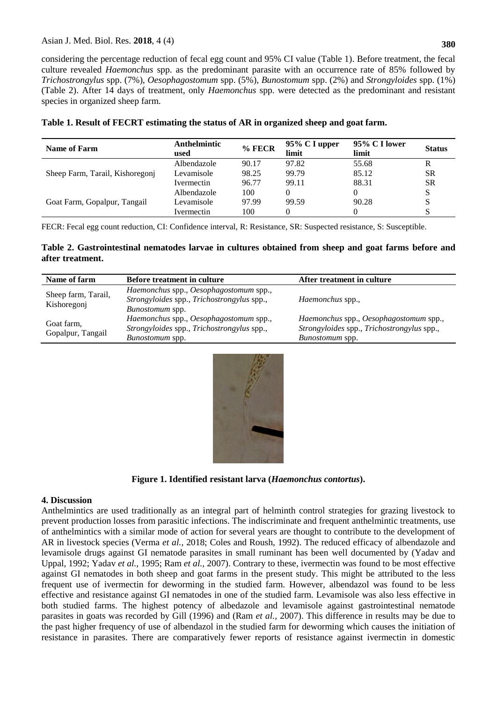# Asian J. Med. Biol. Res. **2018**, 4 (4)

considering the percentage reduction of fecal egg count and 95% CI value (Table 1). Before treatment, the fecal culture revealed *Haemonchus* spp. as the predominant parasite with an occurrence rate of 85% followed by *Trichostrongylus* spp. (7%), *Oesophagostomum* spp. (5%), *Bunostomum* spp. (2%) and *Strongyloides* spp. (1%) (Table 2). After 14 days of treatment, only *Haemonchus* spp. were detected as the predominant and resistant species in organized sheep farm.

| <b>Name of Farm</b>             | Anthelmintic<br>used | $%$ FECR | $95\%$ C I upper<br>limit | 95% C I lower<br>limit | <b>Status</b> |
|---------------------------------|----------------------|----------|---------------------------|------------------------|---------------|
| Sheep Farm, Tarail, Kishoregonj | Albendazole          | 90.17    | 97.82                     | 55.68                  | R             |
|                                 | Levamisole           | 98.25    | 99.79                     | 85.12                  | <b>SR</b>     |
|                                 | Ivermectin           | 96.77    | 99.11                     | 88.31                  | <b>SR</b>     |
| Goat Farm, Gopalpur, Tangail    | Albendazole          | 100      |                           |                        | S             |
|                                 | Levamisole           | 97.99    | 99.59                     | 90.28                  | S             |
|                                 | Ivermectin           | 100      |                           |                        |               |

**Table 1. Result of FECRT estimating the status of AR in organized sheep and goat farm.**

FECR: Fecal egg count reduction, CI: Confidence interval, R: Resistance, SR: Suspected resistance, S: Susceptible.

**Table 2. Gastrointestinal nematodes larvae in cultures obtained from sheep and goat farms before and after treatment.**

| Name of farm                       | <b>Before treatment in culture</b>                                                                             | After treatment in culture                                                                                     |  |  |
|------------------------------------|----------------------------------------------------------------------------------------------------------------|----------------------------------------------------------------------------------------------------------------|--|--|
| Sheep farm, Tarail,<br>Kishoregonj | Haemonchus spp., Oesophagostomum spp.,<br>Strongyloides spp., Trichostrongylus spp.,<br><i>Bunostomum</i> spp. | <i>Haemonchus</i> spp.,                                                                                        |  |  |
| Goat farm,<br>Gopalpur, Tangail    | Haemonchus spp., Oesophagostomum spp.,<br>Strongyloides spp., Trichostrongylus spp.,<br><i>Bunostomum</i> spp. | Haemonchus spp., Oesophagostomum spp.,<br>Strongyloides spp., Trichostrongylus spp.,<br><i>Bunostomum</i> spp. |  |  |



**Figure 1. Identified resistant larva (***Haemonchus contortus***).**

# **4. Discussion**

Anthelmintics are used traditionally as an integral part of helminth control strategies for grazing livestock to prevent production losses from parasitic infections. The indiscriminate and frequent anthelmintic treatments, use of anthelmintics with a similar mode of action for several years are thought to contribute to the development of AR in livestock species (Verma *et al.,* 2018; Coles and Roush, 1992). The reduced efficacy of albendazole and levamisole drugs against GI nematode parasites in small ruminant has been well documented by (Yadav and Uppal, 1992; Yadav *et al.,* 1995; Ram *et al.,* 2007). Contrary to these, ivermectin was found to be most effective against GI nematodes in both sheep and goat farms in the present study. This might be attributed to the less frequent use of ivermectin for deworming in the studied farm. However, albendazol was found to be less effective and resistance against GI nematodes in one of the studied farm. Levamisole was also less effective in both studied farms. The highest potency of albedazole and levamisole against gastrointestinal nematode parasites in goats was recorded by Gill (1996) and (Ram *et al.,* 2007). This difference in results may be due to the past higher frequency of use of albendazol in the studied farm for deworming which causes the initiation of resistance in parasites. There are comparatively fewer reports of resistance against ivermectin in domestic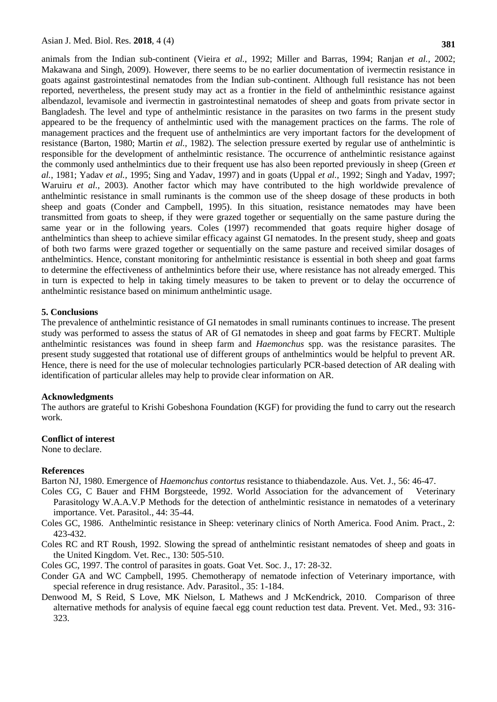animals from the Indian sub-continent (Vieira *et al.,* 1992; Miller and Barras, 1994; Ranjan *et al.,* 2002; Makawana and Singh, 2009). However, there seems to be no earlier documentation of ivermectin resistance in goats against gastrointestinal nematodes from the Indian sub-continent. Although full resistance has not been reported, nevertheless, the present study may act as a frontier in the field of anthelminthic resistance against albendazol, levamisole and ivermectin in gastrointestinal nematodes of sheep and goats from private sector in Bangladesh. The level and type of anthelmintic resistance in the parasites on two farms in the present study appeared to be the frequency of anthelmintic used with the management practices on the farms. The role of management practices and the frequent use of anthelmintics are very important factors for the development of resistance (Barton, 1980; Martin *et al.,* 1982). The selection pressure exerted by regular use of anthelmintic is responsible for the development of anthelmintic resistance. The occurrence of anthelmintic resistance against the commonly used anthelmintics due to their frequent use has also been reported previously in sheep (Green *et al.*, 1981; Yadav *et al.,* 1995; Sing and Yadav, 1997) and in goats (Uppal *et al.,* 1992; Singh and Yadav, 1997; Waruiru *et al.,* 2003). Another factor which may have contributed to the high worldwide prevalence of anthelmintic resistance in small ruminants is the common use of the sheep dosage of these products in both sheep and goats (Conder and Campbell, 1995). In this situation, resistance nematodes may have been transmitted from goats to sheep, if they were grazed together or sequentially on the same pasture during the same year or in the following years. Coles (1997) recommended that goats require higher dosage of anthelmintics than sheep to achieve similar efficacy against GI nematodes. In the present study, sheep and goats of both two farms were grazed together or sequentially on the same pasture and received similar dosages of anthelmintics. Hence, constant monitoring for anthelmintic resistance is essential in both sheep and goat farms to determine the effectiveness of anthelmintics before their use, where resistance has not already emerged. This in turn is expected to help in taking timely measures to be taken to prevent or to delay the occurrence of anthelmintic resistance based on minimum anthelmintic usage.

# **5. Conclusions**

The prevalence of anthelmintic resistance of GI nematodes in small ruminants continues to increase. The present study was performed to assess the status of AR of GI nematodes in sheep and goat farms by FECRT. Multiple anthelmintic resistances was found in sheep farm and *Haemonchus* spp. was the resistance parasites. The present study suggested that rotational use of different groups of anthelmintics would be helpful to prevent AR. Hence, there is need for the use of molecular technologies particularly PCR-based detection of AR dealing with identification of particular alleles may help to provide clear information on AR.

## **Acknowledgments**

The authors are grateful to Krishi Gobeshona Foundation (KGF) for providing the fund to carry out the research work.

# **Conflict of interest**

None to declare.

## **References**

Barton NJ, 1980. Emergence of *Haemonchus contortus* resistance to thiabendazole. Aus. Vet. J., 56: 46-47.

- Coles CG, C Bauer and FHM Borgsteede, 1992. World Association for the advancement of Veterinary Parasitology W.A.A.V.P Methods for the detection of anthelmintic resistance in nematodes of a veterinary importance. Vet. Parasitol., 44: 35-44.
- Coles GC, 1986. Anthelmintic resistance in Sheep: veterinary clinics of North America. Food Anim. Pract., 2: 423-432.
- Coles RC and RT Roush, 1992. Slowing the spread of anthelmintic resistant nematodes of sheep and goats in the United Kingdom. Vet. Rec., 130: 505-510.

Coles GC, 1997. The control of parasites in goats. Goat Vet. Soc. J., 17: 28-32.

- Conder GA and WC Campbell, 1995. Chemotherapy of nematode infection of Veterinary importance, with special reference in drug resistance. Adv. Parasitol., 35: 1-184.
- Denwood M, S Reid, S Love, MK Nielson, L Mathews and J McKendrick, 2010. Comparison of three alternative methods for analysis of equine faecal egg count reduction test data. Prevent. Vet. Med., 93: 316- 323.